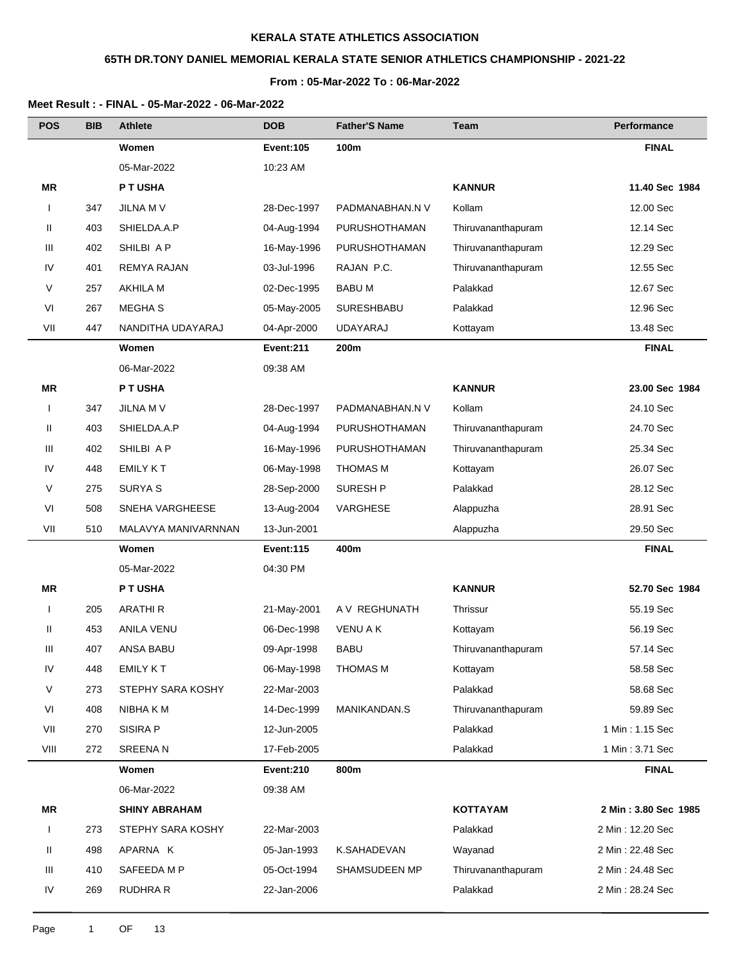# **65TH DR.TONY DANIEL MEMORIAL KERALA STATE SENIOR ATHLETICS CHAMPIONSHIP - 2021-22**

### **From : 05-Mar-2022 To : 06-Mar-2022**

| <b>POS</b>   | BIB | <b>Athlete</b>       | <b>DOB</b>       | <b>Father'S Name</b> | <b>Team</b>        | Performance          |
|--------------|-----|----------------------|------------------|----------------------|--------------------|----------------------|
|              |     | Women                | <b>Event:105</b> | 100m                 |                    | <b>FINAL</b>         |
|              |     | 05-Mar-2022          | 10:23 AM         |                      |                    |                      |
| ΜR           |     | P T USHA             |                  |                      | <b>KANNUR</b>      | 11.40 Sec 1984       |
| $\mathsf{I}$ | 347 | JILNA M V            | 28-Dec-1997      | PADMANABHAN.N V      | Kollam             | 12.00 Sec            |
| Ш            | 403 | SHIELDA.A.P          | 04-Aug-1994      | <b>PURUSHOTHAMAN</b> | Thiruvananthapuram | 12.14 Sec            |
| Ш            | 402 | SHILBI A P           | 16-May-1996      | <b>PURUSHOTHAMAN</b> | Thiruvananthapuram | 12.29 Sec            |
| IV           | 401 | REMYA RAJAN          | 03-Jul-1996      | RAJAN P.C.           | Thiruvananthapuram | 12.55 Sec            |
| V            | 257 | <b>AKHILA M</b>      | 02-Dec-1995      | <b>BABU M</b>        | Palakkad           | 12.67 Sec            |
| VI           | 267 | <b>MEGHA S</b>       | 05-May-2005      | <b>SURESHBABU</b>    | Palakkad           | 12.96 Sec            |
| VII          | 447 | NANDITHA UDAYARAJ    | 04-Apr-2000      | UDAYARAJ             | Kottayam           | 13.48 Sec            |
|              |     | Women                | Event:211        | 200m                 |                    | <b>FINAL</b>         |
|              |     | 06-Mar-2022          | 09:38 AM         |                      |                    |                      |
| ΜR           |     | P T USHA             |                  |                      | <b>KANNUR</b>      | 23.00 Sec 1984       |
| $\mathbf{I}$ | 347 | JILNA M V            | 28-Dec-1997      | PADMANABHAN.N V      | Kollam             | 24.10 Sec            |
| Ш            | 403 | SHIELDA.A.P          | 04-Aug-1994      | <b>PURUSHOTHAMAN</b> | Thiruvananthapuram | 24.70 Sec            |
| Ш            | 402 | SHILBI A P           | 16-May-1996      | <b>PURUSHOTHAMAN</b> | Thiruvananthapuram | 25.34 Sec            |
| IV           | 448 | <b>EMILY KT</b>      | 06-May-1998      | THOMAS M             | Kottayam           | 26.07 Sec            |
| V            | 275 | <b>SURYA S</b>       | 28-Sep-2000      | <b>SURESH P</b>      | Palakkad           | 28.12 Sec            |
| VI           | 508 | SNEHA VARGHEESE      | 13-Aug-2004      | VARGHESE             | Alappuzha          | 28.91 Sec            |
| VII          | 510 | MALAVYA MANIVARNNAN  | 13-Jun-2001      |                      | Alappuzha          | 29.50 Sec            |
|              |     | Women                | <b>Event:115</b> | 400m                 |                    | <b>FINAL</b>         |
|              |     | 05-Mar-2022          | 04:30 PM         |                      |                    |                      |
| ΜR           |     | P T USHA             |                  |                      | <b>KANNUR</b>      | 52.70 Sec 1984       |
| $\mathbf{I}$ | 205 | <b>ARATHIR</b>       | 21-May-2001      | A V REGHUNATH        | Thrissur           | 55.19 Sec            |
| Ш            | 453 | <b>ANILA VENU</b>    | 06-Dec-1998      | <b>VENU AK</b>       | Kottayam           | 56.19 Sec            |
| Ш            | 407 | <b>ANSA BABU</b>     | 09-Apr-1998      | BABU                 | Thiruvananthapuram | 57.14 Sec            |
| IV           | 448 | EMILY KT             | 06-May-1998      | <b>THOMAS M</b>      | Kottayam           | 58.58 Sec            |
| V            | 273 | STEPHY SARA KOSHY    | 22-Mar-2003      |                      | Palakkad           | 58.68 Sec            |
| VI           | 408 | NIBHA K M            | 14-Dec-1999      | MANIKANDAN.S         | Thiruvananthapuram | 59.89 Sec            |
| VII          | 270 | SISIRA P             | 12-Jun-2005      |                      | Palakkad           | 1 Min: 1.15 Sec      |
| VIII         | 272 | <b>SREENAN</b>       | 17-Feb-2005      |                      | Palakkad           | 1 Min: 3.71 Sec      |
|              |     | Women                | Event:210        | 800m                 |                    | <b>FINAL</b>         |
|              |     | 06-Mar-2022          | 09:38 AM         |                      |                    |                      |
| ΜR           |     | <b>SHINY ABRAHAM</b> |                  |                      | <b>KOTTAYAM</b>    | 2 Min: 3.80 Sec 1985 |
| $\mathbf{I}$ | 273 | STEPHY SARA KOSHY    | 22-Mar-2003      |                      | Palakkad           | 2 Min: 12.20 Sec     |
| Ш            | 498 | APARNA K             | 05-Jan-1993      | K.SAHADEVAN          | Wayanad            | 2 Min: 22.48 Sec     |
| Ш            | 410 | SAFEEDA M P          | 05-Oct-1994      | SHAMSUDEEN MP        | Thiruvananthapuram | 2 Min: 24.48 Sec     |
| IV           | 269 | RUDHRA R             | 22-Jan-2006      |                      | Palakkad           | 2 Min: 28.24 Sec     |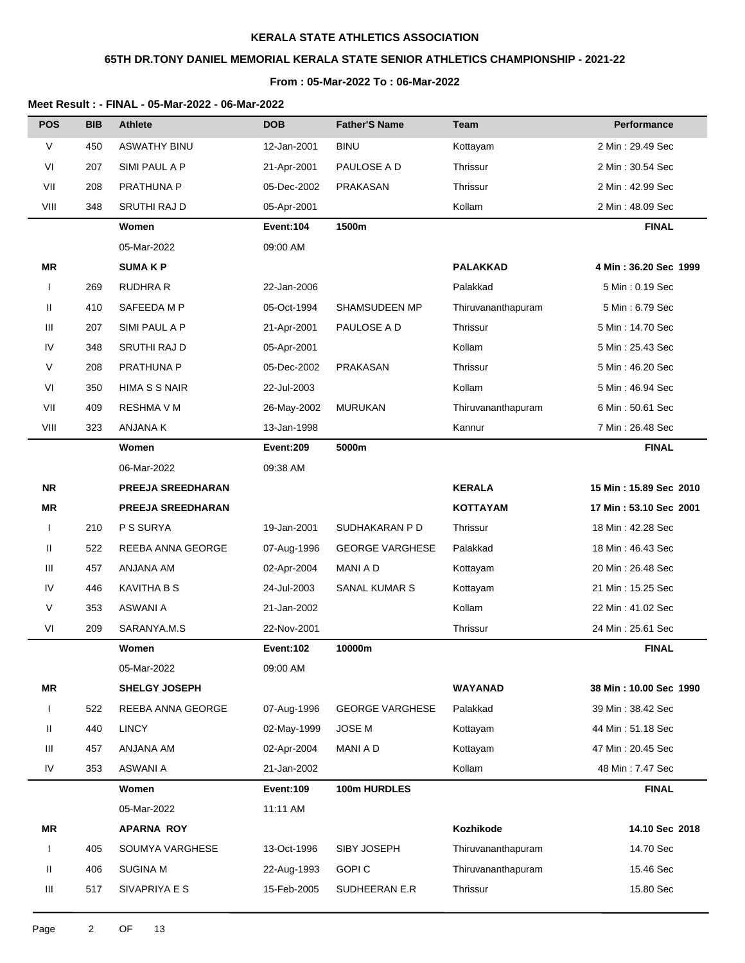# **65TH DR.TONY DANIEL MEMORIAL KERALA STATE SENIOR ATHLETICS CHAMPIONSHIP - 2021-22**

### **From : 05-Mar-2022 To : 06-Mar-2022**

| <b>POS</b>   | <b>BIB</b> | <b>Athlete</b>           | <b>DOB</b>       | <b>Father'S Name</b>   | Team               | Performance            |
|--------------|------------|--------------------------|------------------|------------------------|--------------------|------------------------|
| V            | 450        | <b>ASWATHY BINU</b>      | 12-Jan-2001      | <b>BINU</b>            | Kottayam           | 2 Min: 29.49 Sec       |
| VI           | 207        | SIMI PAUL A P            | 21-Apr-2001      | PAULOSE A D            | Thrissur           | 2 Min: 30.54 Sec       |
| VII          | 208        | <b>PRATHUNA P</b>        | 05-Dec-2002      | PRAKASAN               | Thrissur           | 2 Min: 42.99 Sec       |
| VIII         | 348        | SRUTHI RAJ D             | 05-Apr-2001      |                        | Kollam             | 2 Min: 48.09 Sec       |
|              |            | Women                    | Event:104        | 1500m                  |                    | <b>FINAL</b>           |
|              |            | 05-Mar-2022              | 09:00 AM         |                        |                    |                        |
| ΜR           |            | <b>SUMAKP</b>            |                  |                        | PALAKKAD           | 4 Min: 36.20 Sec 1999  |
| $\mathbf{I}$ | 269        | <b>RUDHRA R</b>          | 22-Jan-2006      |                        | Palakkad           | 5 Min: 0.19 Sec        |
| Ш            | 410        | SAFEEDA M P              | 05-Oct-1994      | SHAMSUDEEN MP          | Thiruvananthapuram | 5 Min: 6.79 Sec        |
| Ш            | 207        | SIMI PAUL A P            | 21-Apr-2001      | PAULOSE A D            | Thrissur           | 5 Min: 14.70 Sec       |
| IV           | 348        | SRUTHI RAJ D             | 05-Apr-2001      |                        | Kollam             | 5 Min: 25.43 Sec       |
| V            | 208        | PRATHUNA P               | 05-Dec-2002      | <b>PRAKASAN</b>        | Thrissur           | 5 Min: 46.20 Sec       |
| VI           | 350        | HIMA S S NAIR            | 22-Jul-2003      |                        | Kollam             | 5 Min: 46.94 Sec       |
| VII          | 409        | <b>RESHMA V M</b>        | 26-May-2002      | <b>MURUKAN</b>         | Thiruvananthapuram | 6 Min: 50.61 Sec       |
| VIII         | 323        | <b>ANJANA K</b>          | 13-Jan-1998      |                        | Kannur             | 7 Min: 26.48 Sec       |
|              |            | Women                    | Event:209        | 5000m                  |                    | <b>FINAL</b>           |
|              |            | 06-Mar-2022              | 09:38 AM         |                        |                    |                        |
| <b>NR</b>    |            | <b>PREEJA SREEDHARAN</b> |                  |                        | <b>KERALA</b>      | 15 Min: 15.89 Sec 2010 |
| <b>MR</b>    |            | <b>PREEJA SREEDHARAN</b> |                  |                        | <b>KOTTAYAM</b>    | 17 Min: 53.10 Sec 2001 |
| $\mathbf{I}$ | 210        | P S SURYA                | 19-Jan-2001      | SUDHAKARAN P D         | Thrissur           | 18 Min: 42.28 Sec      |
| Ш            | 522        | REEBA ANNA GEORGE        | 07-Aug-1996      | <b>GEORGE VARGHESE</b> | Palakkad           | 18 Min: 46.43 Sec      |
| Ш            | 457        | ANJANA AM                | 02-Apr-2004      | MANI A D               | Kottayam           | 20 Min: 26.48 Sec      |
| IV           | 446        | <b>KAVITHA B S</b>       | 24-Jul-2003      | SANAL KUMAR S          | Kottayam           | 21 Min: 15.25 Sec      |
| V            | 353        | ASWANI A                 | 21-Jan-2002      |                        | Kollam             | 22 Min: 41.02 Sec      |
| VI           | 209        | SARANYA.M.S              | 22-Nov-2001      |                        | Thrissur           | 24 Min: 25.61 Sec      |
|              |            | Women                    | <b>Event:102</b> | 10000m                 |                    | <b>FINAL</b>           |
|              |            | 05-Mar-2022              | 09:00 AM         |                        |                    |                        |
| MR           |            | <b>SHELGY JOSEPH</b>     |                  |                        | <b>WAYANAD</b>     | 38 Min: 10.00 Sec 1990 |
| $\mathbf{I}$ | 522        | REEBA ANNA GEORGE        | 07-Aug-1996      | <b>GEORGE VARGHESE</b> | Palakkad           | 39 Min: 38.42 Sec      |
| Ш.           | 440        | <b>LINCY</b>             | 02-May-1999      | <b>JOSE M</b>          | Kottayam           | 44 Min: 51.18 Sec      |
| Ш            | 457        | ANJANA AM                | 02-Apr-2004      | MANI A D               | Kottayam           | 47 Min: 20.45 Sec      |
| IV           | 353        | ASWANI A                 | 21-Jan-2002      |                        | Kollam             | 48 Min: 7.47 Sec       |
|              |            | Women                    | <b>Event:109</b> | 100m HURDLES           |                    | <b>FINAL</b>           |
|              |            | 05-Mar-2022              | 11:11 AM         |                        |                    |                        |
| MR           |            | <b>APARNA ROY</b>        |                  |                        | Kozhikode          | 14.10 Sec 2018         |
| $\mathbf{I}$ | 405        | SOUMYA VARGHESE          | 13-Oct-1996      | SIBY JOSEPH            | Thiruvananthapuram | 14.70 Sec              |
| Ш            | 406        | <b>SUGINA M</b>          | 22-Aug-1993      | <b>GOPIC</b>           | Thiruvananthapuram | 15.46 Sec              |
| Ш            | 517        | SIVAPRIYA E S            | 15-Feb-2005      | SUDHEERAN E.R          | Thrissur           | 15.80 Sec              |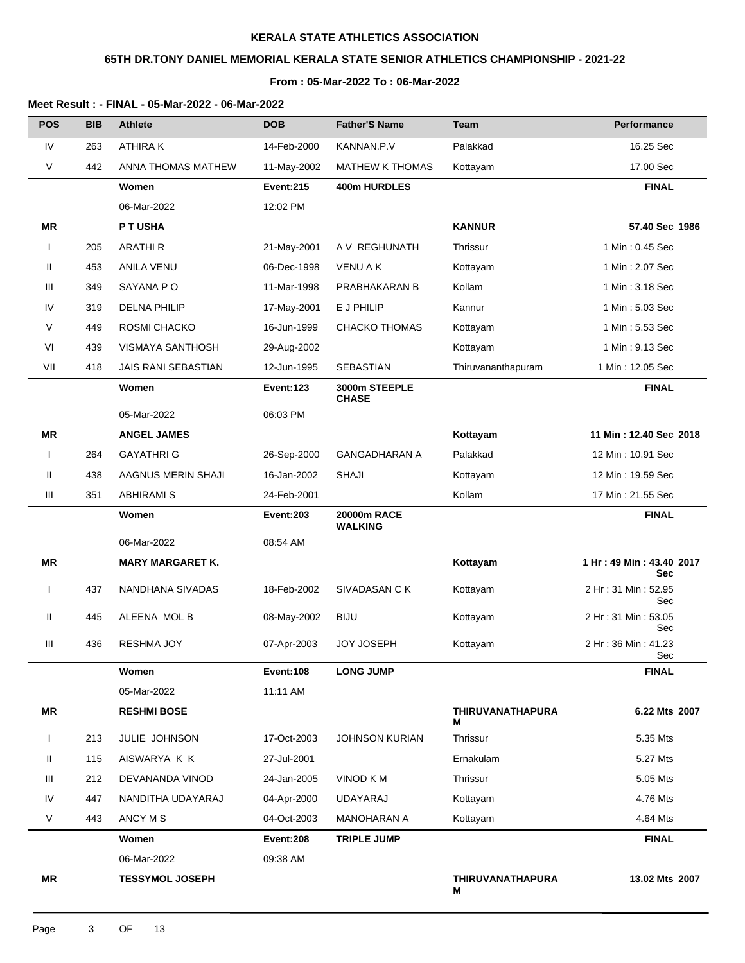# **65TH DR.TONY DANIEL MEMORIAL KERALA STATE SENIOR ATHLETICS CHAMPIONSHIP - 2021-22**

### **From : 05-Mar-2022 To : 06-Mar-2022**

| <b>POS</b>   | <b>BIB</b> | <b>Athlete</b>          | <b>DOB</b>       | <b>Father'S Name</b>          | Team                         | Performance                              |
|--------------|------------|-------------------------|------------------|-------------------------------|------------------------------|------------------------------------------|
| IV           | 263        | <b>ATHIRAK</b>          | 14-Feb-2000      | KANNAN.P.V                    | Palakkad                     | 16.25 Sec                                |
| V            | 442        | ANNA THOMAS MATHEW      | 11-May-2002      | <b>MATHEW K THOMAS</b>        | Kottayam                     | 17.00 Sec                                |
|              |            | Women                   | <b>Event:215</b> | 400m HURDLES                  |                              | <b>FINAL</b>                             |
|              |            | 06-Mar-2022             | 12:02 PM         |                               |                              |                                          |
| ΜR           |            | P T USHA                |                  |                               | <b>KANNUR</b>                | 57.40 Sec 1986                           |
| ı            | 205        | <b>ARATHIR</b>          | 21-May-2001      | A V REGHUNATH                 | Thrissur                     | 1 Min: 0.45 Sec                          |
| Ш            | 453        | ANILA VENU              | 06-Dec-1998      | <b>VENU A K</b>               | Kottayam                     | 1 Min: 2.07 Sec                          |
| Ш            | 349        | SAYANA PO               | 11-Mar-1998      | PRABHAKARAN B                 | Kollam                       | 1 Min: 3.18 Sec                          |
| IV           | 319        | <b>DELNA PHILIP</b>     | 17-May-2001      | E J PHILIP                    | Kannur                       | 1 Min: 5.03 Sec                          |
| V            | 449        | ROSMI CHACKO            | 16-Jun-1999      | <b>CHACKO THOMAS</b>          | Kottayam                     | 1 Min: 5.53 Sec                          |
| VI           | 439        | <b>VISMAYA SANTHOSH</b> | 29-Aug-2002      |                               | Kottayam                     | 1 Min: 9.13 Sec                          |
| VII          | 418        | JAIS RANI SEBASTIAN     | 12-Jun-1995      | <b>SEBASTIAN</b>              | Thiruvananthapuram           | 1 Min: 12.05 Sec                         |
|              |            | Women                   | <b>Event:123</b> | 3000m STEEPLE<br><b>CHASE</b> |                              | <b>FINAL</b>                             |
|              |            | 05-Mar-2022             | 06:03 PM         |                               |                              |                                          |
| <b>MR</b>    |            | <b>ANGEL JAMES</b>      |                  |                               | Kottayam                     | 11 Min: 12.40 Sec 2018                   |
| $\mathbf{I}$ | 264        | <b>GAYATHRI G</b>       | 26-Sep-2000      | <b>GANGADHARAN A</b>          | Palakkad                     | 12 Min: 10.91 Sec                        |
| Ш            | 438        | AAGNUS MERIN SHAJI      | 16-Jan-2002      | SHAJI                         | Kottayam                     | 12 Min: 19.59 Sec                        |
| Ш            | 351        | <b>ABHIRAMIS</b>        | 24-Feb-2001      |                               | Kollam                       | 17 Min: 21.55 Sec                        |
|              |            | Women                   | <b>Event:203</b> | 20000m RACE<br><b>WALKING</b> |                              | <b>FINAL</b>                             |
|              |            | 06-Mar-2022             | 08:54 AM         |                               |                              |                                          |
| <b>MR</b>    |            | <b>MARY MARGARET K.</b> |                  |                               | Kottayam                     | 1 Hr: 49 Min: 43.40 2017                 |
| I            | 437        | NANDHANA SIVADAS        | 18-Feb-2002      | SIVADASAN C K                 | Kottayam                     | <b>Sec</b><br>2 Hr: 31 Min: 52.95<br>Sec |
| Ш            | 445        | ALEENA MOL B            | 08-May-2002      | <b>BIJU</b>                   | Kottayam                     | 2 Hr: 31 Min: 53.05<br>Sec               |
| Ш            | 436        | <b>RESHMA JOY</b>       | 07-Apr-2003      | <b>JOY JOSEPH</b>             | Kottayam                     | 2 Hr: 36 Min: 41.23<br>Sec               |
|              |            | Women                   | Event:108        | <b>LONG JUMP</b>              |                              | <b>FINAL</b>                             |
|              |            | 05-Mar-2022             | 11:11 AM         |                               |                              |                                          |
| <b>MR</b>    |            | <b>RESHMI BOSE</b>      |                  |                               | <b>THIRUVANATHAPURA</b><br>м | 6.22 Mts 2007                            |
| ı            | 213        | JULIE JOHNSON           | 17-Oct-2003      | <b>JOHNSON KURIAN</b>         | Thrissur                     | 5.35 Mts                                 |
| Ш            | 115        | AISWARYA K K            | 27-Jul-2001      |                               | Ernakulam                    | 5.27 Mts                                 |
| Ш            | 212        | DEVANANDA VINOD         | 24-Jan-2005      | VINOD K M                     | Thrissur                     | 5.05 Mts                                 |
| IV           | 447        | NANDITHA UDAYARAJ       | 04-Apr-2000      | UDAYARAJ                      | Kottayam                     | 4.76 Mts                                 |
| V            | 443        | ANCY M S                | 04-Oct-2003      | MANOHARAN A                   | Kottayam                     | 4.64 Mts                                 |
|              |            | Women                   | Event:208        | <b>TRIPLE JUMP</b>            |                              | <b>FINAL</b>                             |
|              |            | 06-Mar-2022             | 09:38 AM         |                               |                              |                                          |
|              |            |                         |                  |                               |                              |                                          |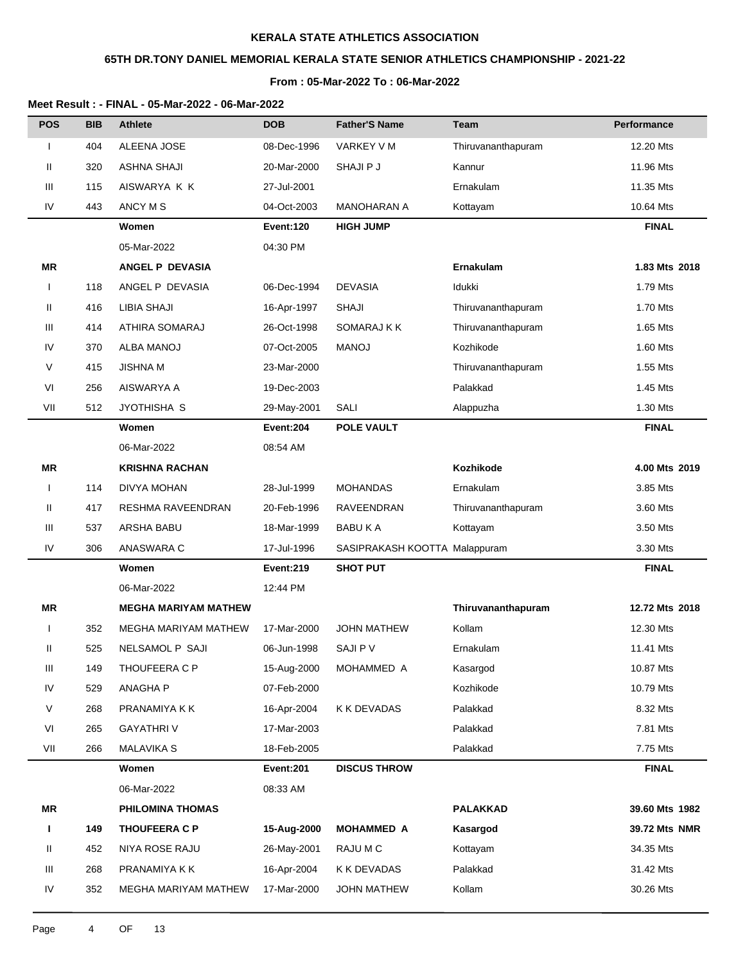# **65TH DR.TONY DANIEL MEMORIAL KERALA STATE SENIOR ATHLETICS CHAMPIONSHIP - 2021-22**

### **From : 05-Mar-2022 To : 06-Mar-2022**

| <b>POS</b>   | <b>BIB</b> | <b>Athlete</b>              | <b>DOB</b>       | <b>Father'S Name</b>          | Team               | Performance    |
|--------------|------------|-----------------------------|------------------|-------------------------------|--------------------|----------------|
| I            | 404        | <b>ALEENA JOSE</b>          | 08-Dec-1996      | VARKEY V M                    | Thiruvananthapuram | 12.20 Mts      |
| Ш            | 320        | <b>ASHNA SHAJI</b>          | 20-Mar-2000      | SHAJI P J                     | Kannur             | 11.96 Mts      |
| Ш            | 115        | AISWARYA K K                | 27-Jul-2001      |                               | Ernakulam          | 11.35 Mts      |
| IV           | 443        | ANCY M S                    | 04-Oct-2003      | <b>MANOHARAN A</b>            | Kottayam           | 10.64 Mts      |
|              |            | Women                       | Event:120        | <b>HIGH JUMP</b>              |                    | <b>FINAL</b>   |
|              |            | 05-Mar-2022                 | 04:30 PM         |                               |                    |                |
| ΜR           |            | ANGEL P DEVASIA             |                  |                               | Ernakulam          | 1.83 Mts 2018  |
| $\mathbf{I}$ | 118        | ANGEL P DEVASIA             | 06-Dec-1994      | <b>DEVASIA</b>                | Idukki             | 1.79 Mts       |
| Ш            | 416        | <b>LIBIA SHAJI</b>          | 16-Apr-1997      | <b>SHAJI</b>                  | Thiruvananthapuram | 1.70 Mts       |
| Ш            | 414        | ATHIRA SOMARAJ              | 26-Oct-1998      | SOMARAJ K K                   | Thiruvananthapuram | 1.65 Mts       |
| IV           | 370        | ALBA MANOJ                  | 07-Oct-2005      | <b>MANOJ</b>                  | Kozhikode          | 1.60 Mts       |
| V            | 415        | <b>JISHNA M</b>             | 23-Mar-2000      |                               | Thiruvananthapuram | 1.55 Mts       |
| VI           | 256        | AISWARYA A                  | 19-Dec-2003      |                               | Palakkad           | 1.45 Mts       |
| VII          | 512        | JYOTHISHA S                 | 29-May-2001      | SALI                          | Alappuzha          | 1.30 Mts       |
|              |            | Women                       | Event:204        | <b>POLE VAULT</b>             |                    | <b>FINAL</b>   |
|              |            | 06-Mar-2022                 | 08:54 AM         |                               |                    |                |
| ΜR           |            | <b>KRISHNA RACHAN</b>       |                  |                               | Kozhikode          | 4.00 Mts 2019  |
|              | 114        | DIVYA MOHAN                 | 28-Jul-1999      | <b>MOHANDAS</b>               | Ernakulam          | 3.85 Mts       |
| Ш            | 417        | RESHMA RAVEENDRAN           | 20-Feb-1996      | RAVEENDRAN                    | Thiruvananthapuram | 3.60 Mts       |
| Ш            | 537        | ARSHA BABU                  | 18-Mar-1999      | <b>BABUKA</b>                 | Kottayam           | 3.50 Mts       |
| IV           | 306        | ANASWARA C                  | 17-Jul-1996      | SASIPRAKASH KOOTTA Malappuram |                    | 3.30 Mts       |
|              |            | Women                       | <b>Event:219</b> | <b>SHOT PUT</b>               |                    | <b>FINAL</b>   |
|              |            | 06-Mar-2022                 | 12:44 PM         |                               |                    |                |
| ΜR           |            | <b>MEGHA MARIYAM MATHEW</b> |                  |                               | Thiruvananthapuram | 12.72 Mts 2018 |
|              | 352        | <b>MEGHA MARIYAM MATHEW</b> | 17-Mar-2000      | <b>JOHN MATHEW</b>            | Kollam             | 12.30 Mts      |
| Ш            | 525        | NELSAMOL P SAJI             | 06-Jun-1998      | SAJI P V                      | Ernakulam          | 11.41 Mts      |
| Ш            | 149        | THOUFEERA C P               | 15-Aug-2000      | MOHAMMED A                    | Kasargod           | 10.87 Mts      |
| IV           | 529        | ANAGHA P                    | 07-Feb-2000      |                               | Kozhikode          | 10.79 Mts      |
| V            | 268        | PRANAMIYA K K               | 16-Apr-2004      | K K DEVADAS                   | Palakkad           | 8.32 Mts       |
| VI           | 265        | <b>GAYATHRIV</b>            | 17-Mar-2003      |                               | Palakkad           | 7.81 Mts       |
| VII          | 266        | <b>MALAVIKA S</b>           | 18-Feb-2005      |                               | Palakkad           | 7.75 Mts       |
|              |            | Women                       | Event:201        | <b>DISCUS THROW</b>           |                    | <b>FINAL</b>   |
|              |            | 06-Mar-2022                 | 08:33 AM         |                               |                    |                |
| MR           |            | PHILOMINA THOMAS            |                  |                               | <b>PALAKKAD</b>    | 39.60 Mts 1982 |
| Ι.           | 149        | <b>THOUFEERA C P</b>        | 15-Aug-2000      | <b>MOHAMMED A</b>             | Kasargod           | 39.72 Mts NMR  |
| Ш            | 452        | NIYA ROSE RAJU              | 26-May-2001      | RAJU M C                      | Kottayam           | 34.35 Mts      |
| Ш            | 268        | PRANAMIYA K K               | 16-Apr-2004      | K K DEVADAS                   | Palakkad           | 31.42 Mts      |
| ${\sf IV}$   | 352        | MEGHA MARIYAM MATHEW        | 17-Mar-2000      | <b>JOHN MATHEW</b>            | Kollam             | 30.26 Mts      |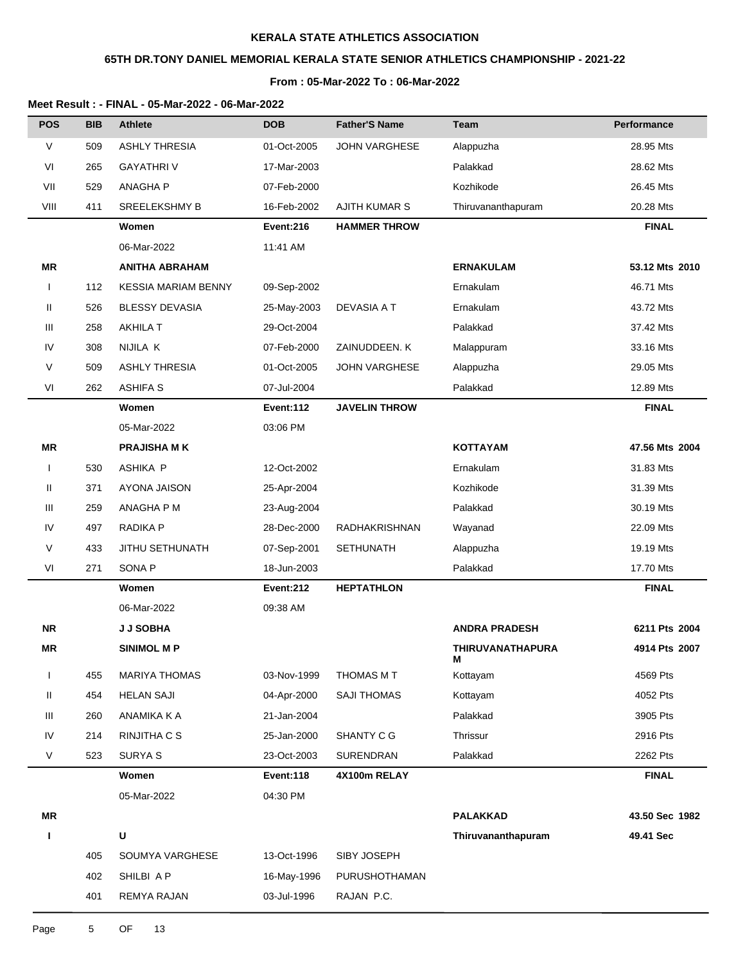# **65TH DR.TONY DANIEL MEMORIAL KERALA STATE SENIOR ATHLETICS CHAMPIONSHIP - 2021-22**

### **From : 05-Mar-2022 To : 06-Mar-2022**

| <b>POS</b>   | <b>BIB</b> | <b>Athlete</b>             | <b>DOB</b>       | <b>Father'S Name</b> | <b>Team</b>                  | <b>Performance</b> |
|--------------|------------|----------------------------|------------------|----------------------|------------------------------|--------------------|
| $\vee$       | 509        | <b>ASHLY THRESIA</b>       | 01-Oct-2005      | <b>JOHN VARGHESE</b> | Alappuzha                    | 28.95 Mts          |
| VI           | 265        | <b>GAYATHRIV</b>           | 17-Mar-2003      |                      | Palakkad                     | 28.62 Mts          |
| VII          | 529        | <b>ANAGHAP</b>             | 07-Feb-2000      |                      | Kozhikode                    | 26.45 Mts          |
| VIII         | 411        | <b>SREELEKSHMY B</b>       | 16-Feb-2002      | <b>AJITH KUMAR S</b> | Thiruvananthapuram           | 20.28 Mts          |
|              |            | Women                      | Event:216        | <b>HAMMER THROW</b>  |                              | <b>FINAL</b>       |
|              |            | 06-Mar-2022                | 11:41 AM         |                      |                              |                    |
| MR           |            | <b>ANITHA ABRAHAM</b>      |                  |                      | <b>ERNAKULAM</b>             | 53.12 Mts 2010     |
| $\mathbf{I}$ | 112        | <b>KESSIA MARIAM BENNY</b> | 09-Sep-2002      |                      | Ernakulam                    | 46.71 Mts          |
| Ш            | 526        | <b>BLESSY DEVASIA</b>      | 25-May-2003      | DEVASIA A T          | Ernakulam                    | 43.72 Mts          |
| Ш            | 258        | <b>AKHILA T</b>            | 29-Oct-2004      |                      | Palakkad                     | 37.42 Mts          |
| IV           | 308        | NIJILA K                   | 07-Feb-2000      | ZAINUDDEEN. K        | Malappuram                   | 33.16 Mts          |
| V            | 509        | <b>ASHLY THRESIA</b>       | 01-Oct-2005      | <b>JOHN VARGHESE</b> | Alappuzha                    | 29.05 Mts          |
| VI           | 262        | <b>ASHIFA S</b>            | 07-Jul-2004      |                      | Palakkad                     | 12.89 Mts          |
|              |            | Women                      | <b>Event:112</b> | <b>JAVELIN THROW</b> |                              | <b>FINAL</b>       |
|              |            | 05-Mar-2022                | 03:06 PM         |                      |                              |                    |
| ΜR           |            | <b>PRAJISHA MK</b>         |                  |                      | <b>KOTTAYAM</b>              | 47.56 Mts 2004     |
| $\mathbf{I}$ | 530        | ASHIKA P                   | 12-Oct-2002      |                      | Ernakulam                    | 31.83 Mts          |
| Ш            | 371        | AYONA JAISON               | 25-Apr-2004      |                      | Kozhikode                    | 31.39 Mts          |
| Ш            | 259        | ANAGHA P M                 | 23-Aug-2004      |                      | Palakkad                     | 30.19 Mts          |
| IV           | 497        | <b>RADIKA P</b>            | 28-Dec-2000      | RADHAKRISHNAN        | Wayanad                      | 22.09 Mts          |
| V            | 433        | JITHU SETHUNATH            | 07-Sep-2001      | <b>SETHUNATH</b>     | Alappuzha                    | 19.19 Mts          |
| VI           | 271        | SONA <sub>P</sub>          | 18-Jun-2003      |                      | Palakkad                     | 17.70 Mts          |
|              |            | Women                      | <b>Event:212</b> | <b>HEPTATHLON</b>    |                              | <b>FINAL</b>       |
|              |            | 06-Mar-2022                | 09:38 AM         |                      |                              |                    |
| <b>NR</b>    |            | <b>J J SOBHA</b>           |                  |                      | <b>ANDRA PRADESH</b>         | 6211 Pts 2004      |
| ΜR           |            | <b>SINIMOL M P</b>         |                  |                      | <b>THIRUVANATHAPURA</b><br>M | 4914 Pts 2007      |
| $\mathbf{I}$ | 455        | <b>MARIYA THOMAS</b>       | 03-Nov-1999      | THOMAS M T           | Kottayam                     | 4569 Pts           |
| Ш            | 454        | <b>HELAN SAJI</b>          | 04-Apr-2000      | <b>SAJI THOMAS</b>   | Kottayam                     | 4052 Pts           |
| Ш            | 260        | ANAMIKA K A                | 21-Jan-2004      |                      | Palakkad                     | 3905 Pts           |
| IV           | 214        | RINJITHA C S               | 25-Jan-2000      | SHANTY C G           | Thrissur                     | 2916 Pts           |
| $\vee$       | 523        | <b>SURYA S</b>             | 23-Oct-2003      | SURENDRAN            | Palakkad                     | 2262 Pts           |
|              |            | Women                      | Event:118        | 4X100m RELAY         |                              | <b>FINAL</b>       |
|              |            | 05-Mar-2022                | 04:30 PM         |                      |                              |                    |
| <b>MR</b>    |            |                            |                  |                      | <b>PALAKKAD</b>              | 43.50 Sec 1982     |
| L            |            | U                          |                  |                      | Thiruvananthapuram           | 49.41 Sec          |
|              | 405        | SOUMYA VARGHESE            | 13-Oct-1996      | SIBY JOSEPH          |                              |                    |
|              | 402        | SHILBI A P                 | 16-May-1996      | PURUSHOTHAMAN        |                              |                    |
|              | 401        | REMYA RAJAN                | 03-Jul-1996      | RAJAN P.C.           |                              |                    |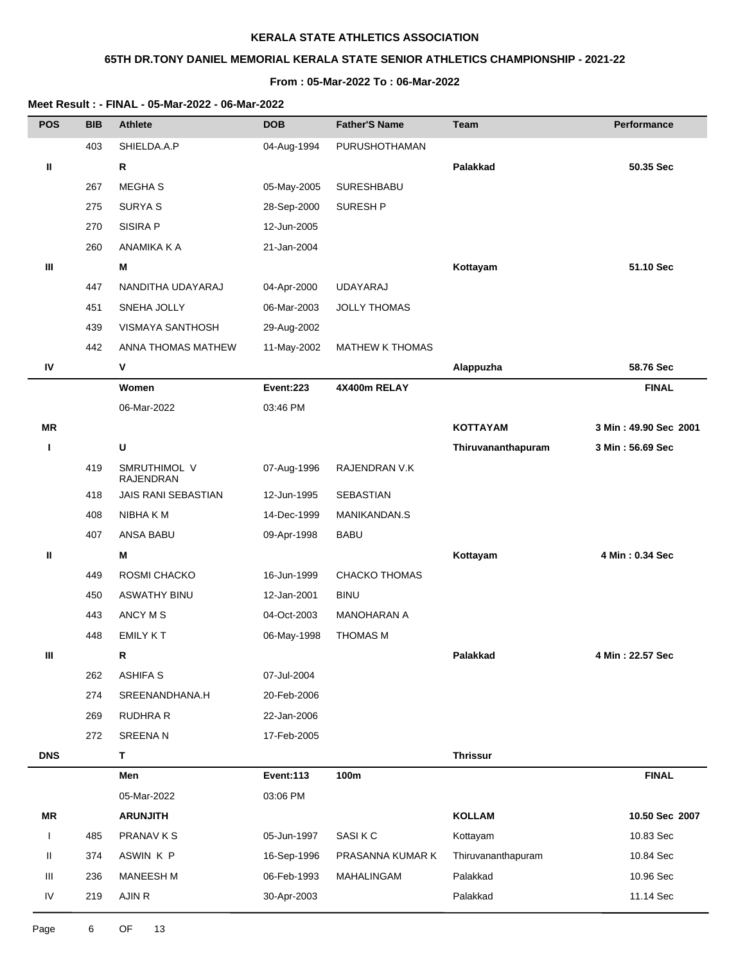# **65TH DR.TONY DANIEL MEMORIAL KERALA STATE SENIOR ATHLETICS CHAMPIONSHIP - 2021-22**

### **From : 05-Mar-2022 To : 06-Mar-2022**

| <b>POS</b> | <b>BIB</b> | <b>Athlete</b>                   | <b>DOB</b>       | <b>Father'S Name</b>   | <b>Team</b>        | Performance           |
|------------|------------|----------------------------------|------------------|------------------------|--------------------|-----------------------|
|            | 403        | SHIELDA.A.P                      | 04-Aug-1994      | PURUSHOTHAMAN          |                    |                       |
| Ш          |            | R                                |                  |                        | Palakkad           | 50.35 Sec             |
|            | 267        | <b>MEGHAS</b>                    | 05-May-2005      | <b>SURESHBABU</b>      |                    |                       |
|            | 275        | <b>SURYAS</b>                    | 28-Sep-2000      | SURESH P               |                    |                       |
|            | 270        | SISIRA P                         | 12-Jun-2005      |                        |                    |                       |
|            | 260        | ANAMIKA K A                      | 21-Jan-2004      |                        |                    |                       |
| Ш          |            | Μ                                |                  |                        | Kottayam           | 51.10 Sec             |
|            | 447        | NANDITHA UDAYARAJ                | 04-Apr-2000      | UDAYARAJ               |                    |                       |
|            | 451        | SNEHA JOLLY                      | 06-Mar-2003      | <b>JOLLY THOMAS</b>    |                    |                       |
|            | 439        | VISMAYA SANTHOSH                 | 29-Aug-2002      |                        |                    |                       |
|            | 442        | ANNA THOMAS MATHEW               | 11-May-2002      | <b>MATHEW K THOMAS</b> |                    |                       |
| IV         |            | V                                |                  |                        | Alappuzha          | 58.76 Sec             |
|            |            | Women                            | <b>Event:223</b> | 4X400m RELAY           |                    | <b>FINAL</b>          |
|            |            | 06-Mar-2022                      | 03:46 PM         |                        |                    |                       |
| ΜR         |            |                                  |                  |                        | <b>KOTTAYAM</b>    | 3 Min: 49.90 Sec 2001 |
| L          |            | U                                |                  |                        | Thiruvananthapuram | 3 Min: 56.69 Sec      |
|            | 419        | SMRUTHIMOL V<br><b>RAJENDRAN</b> | 07-Aug-1996      | RAJENDRAN V.K          |                    |                       |
|            | 418        | JAIS RANI SEBASTIAN              | 12-Jun-1995      | SEBASTIAN              |                    |                       |
|            | 408        | NIBHA K M                        | 14-Dec-1999      | MANIKANDAN.S           |                    |                       |
|            | 407        | ANSA BABU                        | 09-Apr-1998      | BABU                   |                    |                       |
| Ш          |            | M                                |                  |                        | Kottayam           | 4 Min: 0.34 Sec       |
|            | 449        | ROSMI CHACKO                     | 16-Jun-1999      | <b>CHACKO THOMAS</b>   |                    |                       |
|            | 450        | <b>ASWATHY BINU</b>              | 12-Jan-2001      | <b>BINU</b>            |                    |                       |
|            | 443        | ANCY M S                         | 04-Oct-2003      | <b>MANOHARAN A</b>     |                    |                       |
|            | 448        | <b>EMILY KT</b>                  | 06-May-1998      | <b>THOMAS M</b>        |                    |                       |
| Ш          |            | R                                |                  |                        | Palakkad           | 4 Min: 22.57 Sec      |
|            | 262        | <b>ASHIFA S</b>                  | 07-Jul-2004      |                        |                    |                       |
|            | 274        | SREENANDHANA.H                   | 20-Feb-2006      |                        |                    |                       |
|            | 269        | RUDHRA R                         | 22-Jan-2006      |                        |                    |                       |
|            | 272        | <b>SREENAN</b>                   | 17-Feb-2005      |                        |                    |                       |
| <b>DNS</b> |            | T.                               |                  |                        | <b>Thrissur</b>    |                       |
|            |            | Men                              | <b>Event:113</b> | 100m                   |                    | <b>FINAL</b>          |
|            |            | 05-Mar-2022                      | 03:06 PM         |                        |                    |                       |
| MR         |            | <b>ARUNJITH</b>                  |                  |                        | <b>KOLLAM</b>      | 10.50 Sec 2007        |
| L          | 485        | PRANAV K S                       | 05-Jun-1997      | SASI K C               | Kottayam           | 10.83 Sec             |
| Ш          | 374        | ASWIN K P                        | 16-Sep-1996      | PRASANNA KUMAR K       | Thiruvananthapuram | 10.84 Sec             |
| Ш          | 236        | <b>MANEESH M</b>                 | 06-Feb-1993      | MAHALINGAM             | Palakkad           | 10.96 Sec             |
| IV         | 219        | AJIN R                           | 30-Apr-2003      |                        | Palakkad           | 11.14 Sec             |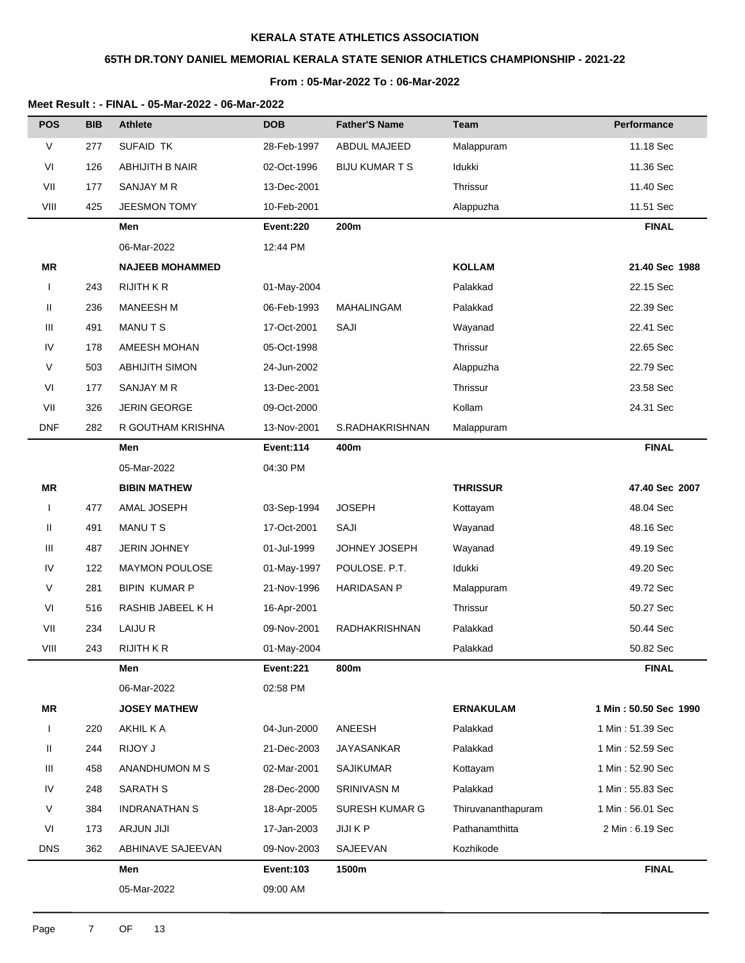# **65TH DR.TONY DANIEL MEMORIAL KERALA STATE SENIOR ATHLETICS CHAMPIONSHIP - 2021-22**

### **From : 05-Mar-2022 To : 06-Mar-2022**

| <b>POS</b>   | <b>BIB</b> | <b>Athlete</b>         | <b>DOB</b>       | <b>Father'S Name</b>  | <b>Team</b>        | <b>Performance</b>    |
|--------------|------------|------------------------|------------------|-----------------------|--------------------|-----------------------|
| V            | 277        | <b>SUFAID TK</b>       | 28-Feb-1997      | ABDUL MAJEED          | Malappuram         | 11.18 Sec             |
| VI           | 126        | ABHIJITH B NAIR        | 02-Oct-1996      | <b>BIJU KUMAR T S</b> | Idukki             | 11.36 Sec             |
| VII          | 177        | SANJAY M R             | 13-Dec-2001      |                       | Thrissur           | 11.40 Sec             |
| VIII         | 425        | <b>JEESMON TOMY</b>    | 10-Feb-2001      |                       | Alappuzha          | 11.51 Sec             |
|              |            | Men                    | <b>Event:220</b> | 200m                  |                    | <b>FINAL</b>          |
|              |            | 06-Mar-2022            | 12:44 PM         |                       |                    |                       |
| MR           |            | <b>NAJEEB MOHAMMED</b> |                  |                       | <b>KOLLAM</b>      | 21.40 Sec 1988        |
| $\mathbf{I}$ | 243        | <b>RIJITH K R</b>      | 01-May-2004      |                       | Palakkad           | 22.15 Sec             |
| Ш            | 236        | <b>MANEESH M</b>       | 06-Feb-1993      | MAHALINGAM            | Palakkad           | 22.39 Sec             |
| Ш            | 491        | MANUTS                 | 17-Oct-2001      | SAJI                  | Wayanad            | 22.41 Sec             |
| IV           | 178        | AMEESH MOHAN           | 05-Oct-1998      |                       | Thrissur           | 22.65 Sec             |
| V            | 503        | <b>ABHIJITH SIMON</b>  | 24-Jun-2002      |                       | Alappuzha          | 22.79 Sec             |
| VI           | 177        | SANJAY M R             | 13-Dec-2001      |                       | Thrissur           | 23.58 Sec             |
| VII          | 326        | <b>JERIN GEORGE</b>    | 09-Oct-2000      |                       | Kollam             | 24.31 Sec             |
| <b>DNF</b>   | 282        | R GOUTHAM KRISHNA      | 13-Nov-2001      | S.RADHAKRISHNAN       | Malappuram         |                       |
|              |            | Men                    | Event:114        | 400m                  |                    | <b>FINAL</b>          |
|              |            | 05-Mar-2022            | 04:30 PM         |                       |                    |                       |
| <b>MR</b>    |            | <b>BIBIN MATHEW</b>    |                  |                       | <b>THRISSUR</b>    | 47.40 Sec 2007        |
| I            | 477        | AMAL JOSEPH            | 03-Sep-1994      | <b>JOSEPH</b>         | Kottayam           | 48.04 Sec             |
| Ш            | 491        | <b>MANUTS</b>          | 17-Oct-2001      | SAJI                  | Wayanad            | 48.16 Sec             |
| Ш            | 487        | <b>JERIN JOHNEY</b>    | 01-Jul-1999      | JOHNEY JOSEPH         | Wayanad            | 49.19 Sec             |
| IV           | 122        | <b>MAYMON POULOSE</b>  | 01-May-1997      | POULOSE. P.T.         | Idukki             | 49.20 Sec             |
| V            | 281        | <b>BIPIN KUMAR P</b>   | 21-Nov-1996      | <b>HARIDASAN P</b>    | Malappuram         | 49.72 Sec             |
| VI           | 516        | RASHIB JABEEL K H      | 16-Apr-2001      |                       | Thrissur           | 50.27 Sec             |
| VII          | 234        | LAIJU R                | 09-Nov-2001      | RADHAKRISHNAN         | Palakkad           | 50.44 Sec             |
| VIII         | 243        | <b>RIJITH K R</b>      | 01-May-2004      |                       | Palakkad           | 50.82 Sec             |
|              |            | Men                    | Event:221        | 800m                  |                    | <b>FINAL</b>          |
|              |            | 06-Mar-2022            | 02:58 PM         |                       |                    |                       |
| <b>MR</b>    |            | <b>JOSEY MATHEW</b>    |                  |                       | <b>ERNAKULAM</b>   | 1 Min: 50.50 Sec 1990 |
|              | 220        | AKHIL K A              | 04-Jun-2000      | ANEESH                | Palakkad           | 1 Min: 51.39 Sec      |
| Ш            | 244        | RIJOY J                | 21-Dec-2003      | <b>JAYASANKAR</b>     | Palakkad           | 1 Min: 52.59 Sec      |
| Ш            | 458        | ANANDHUMON M S         | 02-Mar-2001      | <b>SAJIKUMAR</b>      | Kottayam           | 1 Min: 52.90 Sec      |
| IV           | 248        | SARATH S               | 28-Dec-2000      | SRINIVASN M           | Palakkad           | 1 Min: 55.83 Sec      |
| V            | 384        | <b>INDRANATHAN S</b>   | 18-Apr-2005      | <b>SURESH KUMAR G</b> | Thiruvananthapuram | 1 Min: 56.01 Sec      |
| VI           | 173        | ARJUN JIJI             | 17-Jan-2003      | JIJI K P              | Pathanamthitta     | 2 Min: 6.19 Sec       |
| <b>DNS</b>   | 362        | ABHINAVE SAJEEVAN      | 09-Nov-2003      | SAJEEVAN              | Kozhikode          |                       |
|              |            | Men                    | <b>Event:103</b> | 1500m                 |                    | <b>FINAL</b>          |
|              |            | 05-Mar-2022            | 09:00 AM         |                       |                    |                       |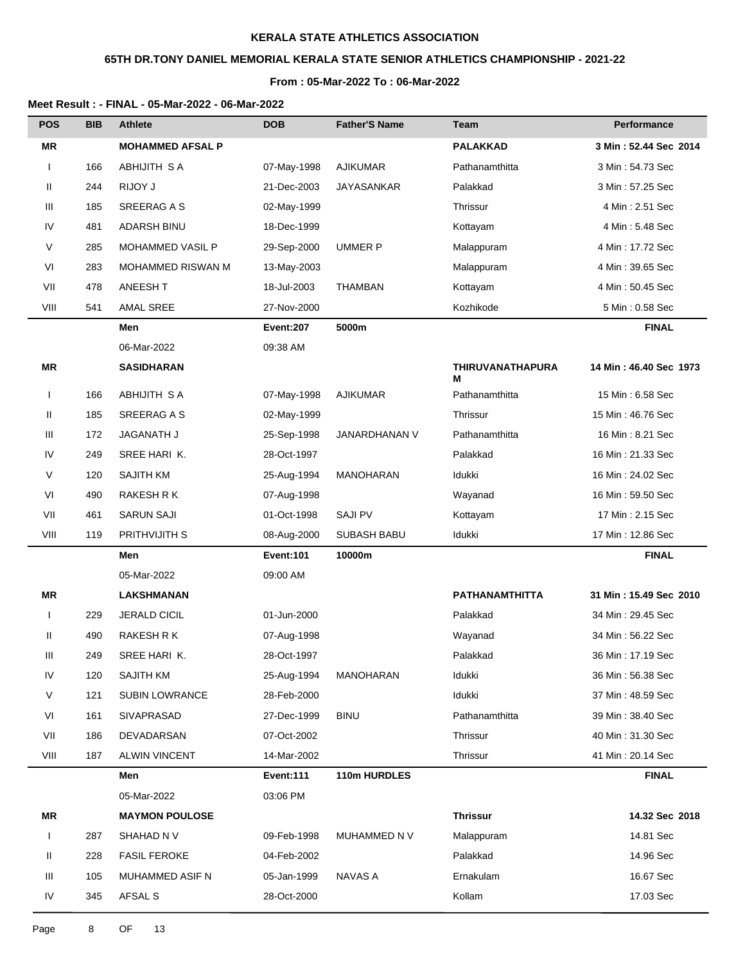# **65TH DR.TONY DANIEL MEMORIAL KERALA STATE SENIOR ATHLETICS CHAMPIONSHIP - 2021-22**

### **From : 05-Mar-2022 To : 06-Mar-2022**

| <b>POS</b>   | <b>BIB</b> | <b>Athlete</b>          | <b>DOB</b>       | <b>Father'S Name</b> | <b>Team</b>                  | Performance            |
|--------------|------------|-------------------------|------------------|----------------------|------------------------------|------------------------|
| <b>MR</b>    |            | <b>MOHAMMED AFSAL P</b> |                  |                      | <b>PALAKKAD</b>              | 3 Min: 52.44 Sec 2014  |
| 1            | 166        | ABHIJITH S A            | 07-May-1998      | <b>AJIKUMAR</b>      | Pathanamthitta               | 3 Min: 54.73 Sec       |
| Ш            | 244        | RIJOY J                 | 21-Dec-2003      | <b>JAYASANKAR</b>    | Palakkad                     | 3 Min: 57.25 Sec       |
| Ш            | 185        | SREERAG A S             | 02-May-1999      |                      | Thrissur                     | 4 Min: 2.51 Sec        |
| IV           | 481        | <b>ADARSH BINU</b>      | 18-Dec-1999      |                      | Kottayam                     | 4 Min: 5.48 Sec        |
| $\vee$       | 285        | MOHAMMED VASIL P        | 29-Sep-2000      | <b>UMMER P</b>       | Malappuram                   | 4 Min: 17.72 Sec       |
| VI           | 283        | MOHAMMED RISWAN M       | 13-May-2003      |                      | Malappuram                   | 4 Min: 39.65 Sec       |
| VII          | 478        | ANEESH T                | 18-Jul-2003      | <b>THAMBAN</b>       | Kottayam                     | 4 Min: 50.45 Sec       |
| VIII         | 541        | AMAL SREE               | 27-Nov-2000      |                      | Kozhikode                    | 5 Min: 0.58 Sec        |
|              |            | Men                     | Event:207        | 5000m                |                              | <b>FINAL</b>           |
|              |            | 06-Mar-2022             | 09:38 AM         |                      |                              |                        |
| <b>MR</b>    |            | <b>SASIDHARAN</b>       |                  |                      | <b>THIRUVANATHAPURA</b><br>м | 14 Min: 46.40 Sec 1973 |
| $\mathsf{l}$ | 166        | ABHIJITH SA             | 07-May-1998      | <b>AJIKUMAR</b>      | Pathanamthitta               | 15 Min: 6.58 Sec       |
| Ш            | 185        | SREERAG A S             | 02-May-1999      |                      | Thrissur                     | 15 Min: 46.76 Sec      |
| Ш            | 172        | JAGANATH J              | 25-Sep-1998      | JANARDHANAN V        | Pathanamthitta               | 16 Min: 8.21 Sec       |
| IV           | 249        | SREE HARI K.            | 28-Oct-1997      |                      | Palakkad                     | 16 Min: 21.33 Sec      |
| V            | 120        | SAJITH KM               | 25-Aug-1994      | <b>MANOHARAN</b>     | Idukki                       | 16 Min: 24.02 Sec      |
| VI           | 490        | RAKESH R K              | 07-Aug-1998      |                      | Wayanad                      | 16 Min: 59.50 Sec      |
| VII          | 461        | <b>SARUN SAJI</b>       | 01-Oct-1998      | <b>SAJI PV</b>       | Kottayam                     | 17 Min: 2.15 Sec       |
| VIII         | 119        | PRITHVIJITH S           | 08-Aug-2000      | <b>SUBASH BABU</b>   | Idukki                       | 17 Min: 12.86 Sec      |
|              |            | Men                     | <b>Event:101</b> | 10000m               |                              | <b>FINAL</b>           |
|              |            | 05-Mar-2022             | 09:00 AM         |                      |                              |                        |
| <b>MR</b>    |            | <b>LAKSHMANAN</b>       |                  |                      | <b>PATHANAMTHITTA</b>        | 31 Min: 15.49 Sec 2010 |
| 1            | 229        | JERALD CICIL            | 01-Jun-2000      |                      | Palakkad                     | 34 Min: 29.45 Sec      |
| Ш            | 490        | RAKESH R K              | 07-Aug-1998      |                      | Wayanad                      | 34 Min: 56.22 Sec      |
| Ш            | 249        | SREE HARIK.             | 28-Oct-1997      |                      | Palakkad                     | 36 Min: 17.19 Sec      |
| IV           | 120        | SAJITH KM               | 25-Aug-1994      | MANOHARAN            | Idukki                       | 36 Min: 56.38 Sec      |
| $\vee$       | 121        | <b>SUBIN LOWRANCE</b>   | 28-Feb-2000      |                      | Idukki                       | 37 Min: 48.59 Sec      |
| VI           | 161        | SIVAPRASAD              | 27-Dec-1999      | <b>BINU</b>          | Pathanamthitta               | 39 Min: 38.40 Sec      |
| VII          | 186        | DEVADARSAN              | 07-Oct-2002      |                      | Thrissur                     | 40 Min: 31.30 Sec      |
| VIII         | 187        | <b>ALWIN VINCENT</b>    | 14-Mar-2002      |                      | Thrissur                     | 41 Min: 20.14 Sec      |
|              |            | Men                     | Event:111        | 110m HURDLES         |                              | <b>FINAL</b>           |
|              |            | 05-Mar-2022             | 03:06 PM         |                      |                              |                        |
| MR           |            | <b>MAYMON POULOSE</b>   |                  |                      | <b>Thrissur</b>              | 14.32 Sec 2018         |
| $\mathbf{I}$ | 287        | SHAHAD N V              | 09-Feb-1998      | MUHAMMED N V         | Malappuram                   | 14.81 Sec              |
| Ш            | 228        | <b>FASIL FEROKE</b>     | 04-Feb-2002      |                      | Palakkad                     | 14.96 Sec              |
| Ш            | 105        | MUHAMMED ASIF N         | 05-Jan-1999      | <b>NAVAS A</b>       | Ernakulam                    | 16.67 Sec              |
| IV           | 345        | AFSAL S                 | 28-Oct-2000      |                      | Kollam                       | 17.03 Sec              |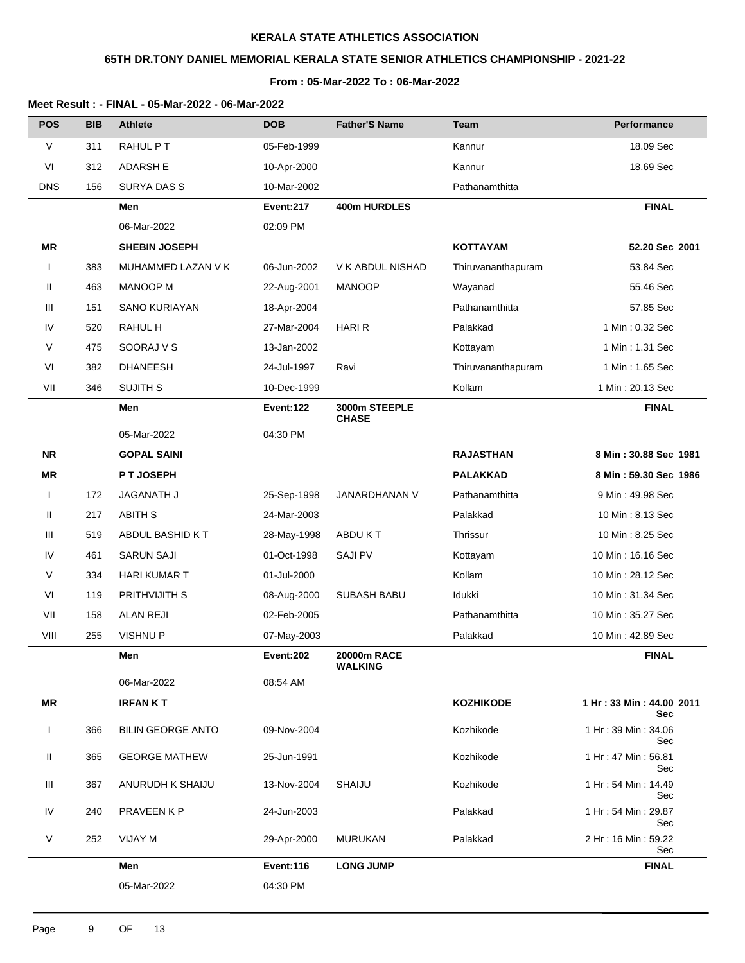# **65TH DR.TONY DANIEL MEMORIAL KERALA STATE SENIOR ATHLETICS CHAMPIONSHIP - 2021-22**

### **From : 05-Mar-2022 To : 06-Mar-2022**

| <b>POS</b>   | <b>BIB</b> | <b>Athlete</b>           | <b>DOB</b>  | <b>Father'S Name</b>          | Team               | Performance                            |
|--------------|------------|--------------------------|-------------|-------------------------------|--------------------|----------------------------------------|
| V            | 311        | RAHUL PT                 | 05-Feb-1999 |                               | Kannur             | 18.09 Sec                              |
| VI           | 312        | <b>ADARSH E</b>          | 10-Apr-2000 |                               | Kannur             | 18.69 Sec                              |
| <b>DNS</b>   | 156        | <b>SURYA DAS S</b>       | 10-Mar-2002 |                               | Pathanamthitta     |                                        |
|              |            | Men                      | Event:217   | 400m HURDLES                  |                    | <b>FINAL</b>                           |
|              |            | 06-Mar-2022              | 02:09 PM    |                               |                    |                                        |
| <b>MR</b>    |            | <b>SHEBIN JOSEPH</b>     |             |                               | <b>KOTTAYAM</b>    | 52.20 Sec 2001                         |
| $\mathbf{I}$ | 383        | MUHAMMED LAZAN V K       | 06-Jun-2002 | V K ABDUL NISHAD              | Thiruvananthapuram | 53.84 Sec                              |
| Ш            | 463        | <b>MANOOP M</b>          | 22-Aug-2001 | <b>MANOOP</b>                 | Wayanad            | 55.46 Sec                              |
| Ш            | 151        | <b>SANO KURIAYAN</b>     | 18-Apr-2004 |                               | Pathanamthitta     | 57.85 Sec                              |
| IV           | 520        | RAHUL H                  | 27-Mar-2004 | <b>HARI R</b>                 | Palakkad           | 1 Min: 0.32 Sec                        |
| V            | 475        | SOORAJ V S               | 13-Jan-2002 |                               | Kottayam           | 1 Min: 1.31 Sec                        |
| VI           | 382        | <b>DHANEESH</b>          | 24-Jul-1997 | Ravi                          | Thiruvananthapuram | 1 Min: 1.65 Sec                        |
| VII          | 346        | <b>SUJITH S</b>          | 10-Dec-1999 |                               | Kollam             | 1 Min: 20.13 Sec                       |
|              |            | Men                      | Event:122   | 3000m STEEPLE<br><b>CHASE</b> |                    | <b>FINAL</b>                           |
|              |            | 05-Mar-2022              | 04:30 PM    |                               |                    |                                        |
| <b>NR</b>    |            | <b>GOPAL SAINI</b>       |             |                               | <b>RAJASTHAN</b>   | 8 Min: 30.88 Sec 1981                  |
| <b>MR</b>    |            | P T JOSEPH               |             |                               | <b>PALAKKAD</b>    | 8 Min: 59.30 Sec 1986                  |
| $\mathbf{I}$ | 172        | JAGANATH J               | 25-Sep-1998 | JANARDHANAN V                 | Pathanamthitta     | 9 Min: 49.98 Sec                       |
| Ш            | 217        | <b>ABITH S</b>           | 24-Mar-2003 |                               | Palakkad           | 10 Min: 8.13 Sec                       |
| Ш            | 519        | ABDUL BASHID KT          | 28-May-1998 | ABDU K T                      | Thrissur           | 10 Min: 8.25 Sec                       |
| IV           | 461        | <b>SARUN SAJI</b>        | 01-Oct-1998 | <b>SAJI PV</b>                | Kottayam           | 10 Min: 16.16 Sec                      |
| V            | 334        | <b>HARI KUMAR T</b>      | 01-Jul-2000 |                               | Kollam             | 10 Min: 28.12 Sec                      |
| VI           | 119        | PRITHVIJITH S            | 08-Aug-2000 | <b>SUBASH BABU</b>            | Idukki             | 10 Min: 31.34 Sec                      |
| VII          | 158        | <b>ALAN REJI</b>         | 02-Feb-2005 |                               | Pathanamthitta     | 10 Min: 35.27 Sec                      |
| VIII         | 255        | <b>VISHNUP</b>           | 07-May-2003 |                               | Palakkad           | 10 Min: 42.89 Sec                      |
|              |            | Men                      | Event:202   | 20000m RACE<br><b>WALKING</b> |                    | <b>FINAL</b>                           |
|              |            | 06-Mar-2022              | 08:54 AM    |                               |                    |                                        |
| ΜR           |            | <b>IRFANKT</b>           |             |                               | <b>KOZHIKODE</b>   | 1 Hr: 33 Min: 44.00 2011<br><b>Sec</b> |
| $\mathbf{I}$ | 366        | <b>BILIN GEORGE ANTO</b> | 09-Nov-2004 |                               | Kozhikode          | 1 Hr: 39 Min: 34.06<br>Sec             |
| Ш            | 365        | <b>GEORGE MATHEW</b>     | 25-Jun-1991 |                               | Kozhikode          | 1 Hr: 47 Min: 56.81<br>Sec             |
| Ш            | 367        | ANURUDH K SHAIJU         | 13-Nov-2004 | <b>SHAIJU</b>                 | Kozhikode          | 1 Hr: 54 Min: 14.49<br>Sec             |
| IV           | 240        | <b>PRAVEEN K P</b>       | 24-Jun-2003 |                               | Palakkad           | 1 Hr: 54 Min: 29.87<br>Sec             |
| V            | 252        | VIJAY M                  | 29-Apr-2000 | MURUKAN                       | Palakkad           | 2 Hr: 16 Min: 59.22<br>Sec             |
|              |            | Men                      | Event:116   | <b>LONG JUMP</b>              |                    | <b>FINAL</b>                           |
|              |            | 05-Mar-2022              | 04:30 PM    |                               |                    |                                        |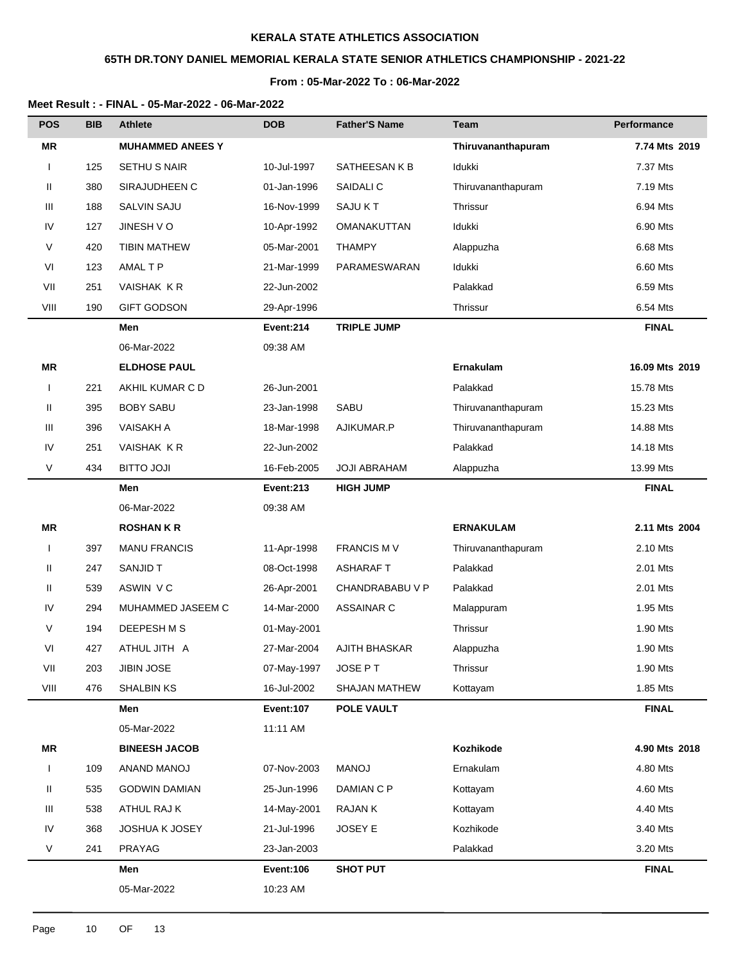# **65TH DR.TONY DANIEL MEMORIAL KERALA STATE SENIOR ATHLETICS CHAMPIONSHIP - 2021-22**

### **From : 05-Mar-2022 To : 06-Mar-2022**

| <b>POS</b>   | <b>BIB</b> | <b>Athlete</b>          | <b>DOB</b>       | <b>Father'S Name</b> | <b>Team</b>        | Performance    |
|--------------|------------|-------------------------|------------------|----------------------|--------------------|----------------|
| <b>MR</b>    |            | <b>MUHAMMED ANEES Y</b> |                  |                      | Thiruvananthapuram | 7.74 Mts 2019  |
| $\mathbf{I}$ | 125        | SETHU S NAIR            | 10-Jul-1997      | SATHEESAN K B        | Idukki             | 7.37 Mts       |
| Ш            | 380        | SIRAJUDHEEN C           | 01-Jan-1996      | SAIDALI C            | Thiruvananthapuram | 7.19 Mts       |
| Ш            | 188        | SALVIN SAJU             | 16-Nov-1999      | SAJU KT              | Thrissur           | 6.94 Mts       |
| IV           | 127        | JINESH VO               | 10-Apr-1992      | OMANAKUTTAN          | Idukki             | 6.90 Mts       |
| $\vee$       | 420        | <b>TIBIN MATHEW</b>     | 05-Mar-2001      | <b>THAMPY</b>        | Alappuzha          | 6.68 Mts       |
| VI           | 123        | AMAL T P                | 21-Mar-1999      | PARAMESWARAN         | Idukki             | 6.60 Mts       |
| VII          | 251        | VAISHAK KR              | 22-Jun-2002      |                      | Palakkad           | 6.59 Mts       |
| VIII         | 190        | <b>GIFT GODSON</b>      | 29-Apr-1996      |                      | Thrissur           | 6.54 Mts       |
|              |            | Men                     | Event:214        | TRIPLE JUMP          |                    | <b>FINAL</b>   |
|              |            | 06-Mar-2022             | 09:38 AM         |                      |                    |                |
| <b>MR</b>    |            | <b>ELDHOSE PAUL</b>     |                  |                      | Ernakulam          | 16.09 Mts 2019 |
| $\mathbf{I}$ | 221        | AKHIL KUMAR C D         | 26-Jun-2001      |                      | Palakkad           | 15.78 Mts      |
| Ш            | 395        | <b>BOBY SABU</b>        | 23-Jan-1998      | SABU                 | Thiruvananthapuram | 15.23 Mts      |
| Ш            | 396        | <b>VAISAKH A</b>        | 18-Mar-1998      | AJIKUMAR.P           | Thiruvananthapuram | 14.88 Mts      |
| IV           | 251        | VAISHAK KR              | 22-Jun-2002      |                      | Palakkad           | 14.18 Mts      |
| $\vee$       | 434        | <b>ILOL OTTIB</b>       | 16-Feb-2005      | <b>JOJI ABRAHAM</b>  | Alappuzha          | 13.99 Mts      |
|              |            | Men                     | <b>Event:213</b> | <b>HIGH JUMP</b>     |                    | <b>FINAL</b>   |
|              |            | 06-Mar-2022             | 09:38 AM         |                      |                    |                |
| <b>MR</b>    |            | <b>ROSHANKR</b>         |                  |                      | <b>ERNAKULAM</b>   | 2.11 Mts 2004  |
| $\mathbf{I}$ | 397        | <b>MANU FRANCIS</b>     | 11-Apr-1998      | <b>FRANCIS MV</b>    | Thiruvananthapuram | 2.10 Mts       |
| Ш            | 247        | <b>SANJID T</b>         | 08-Oct-1998      | <b>ASHARAFT</b>      | Palakkad           | 2.01 Mts       |
| Ш            | 539        | ASWIN VC                | 26-Apr-2001      | CHANDRABABU V P      | Palakkad           | 2.01 Mts       |
| IV           | 294        | MUHAMMED JASEEM C       | 14-Mar-2000      | ASSAINAR C           | Malappuram         | 1.95 Mts       |
| V            | 194        | DEEPESH M S             | 01-May-2001      |                      | Thrissur           | 1.90 Mts       |
| VI           | 427        | ATHUL JITH A            | 27-Mar-2004      | AJITH BHASKAR        | Alappuzha          | 1.90 Mts       |
| VII          | 203        | <b>JIBIN JOSE</b>       | 07-May-1997      | JOSE PT              | Thrissur           | 1.90 Mts       |
| VIII         | 476        | <b>SHALBIN KS</b>       | 16-Jul-2002      | SHAJAN MATHEW        | Kottayam           | 1.85 Mts       |
|              |            | Men                     | <b>Event:107</b> | POLE VAULT           |                    | <b>FINAL</b>   |
|              |            | 05-Mar-2022             | 11:11 AM         |                      |                    |                |
| MR           |            | <b>BINEESH JACOB</b>    |                  |                      | Kozhikode          | 4.90 Mts 2018  |
| $\mathbf{I}$ | 109        | ANAND MANOJ             | 07-Nov-2003      | <b>MANOJ</b>         | Ernakulam          | 4.80 Mts       |
| Ш            | 535        | <b>GODWIN DAMIAN</b>    | 25-Jun-1996      | DAMIAN C P           | Kottayam           | 4.60 Mts       |
| Ш            | 538        | ATHUL RAJ K             | 14-May-2001      | <b>RAJANK</b>        | Kottayam           | 4.40 Mts       |
| IV           | 368        | JOSHUA K JOSEY          | 21-Jul-1996      | JOSEY E              | Kozhikode          | 3.40 Mts       |
| V            | 241        | PRAYAG                  | 23-Jan-2003      |                      | Palakkad           | 3.20 Mts       |
|              |            | Men                     | <b>Event:106</b> | <b>SHOT PUT</b>      |                    | <b>FINAL</b>   |
|              |            | 05-Mar-2022             | 10:23 AM         |                      |                    |                |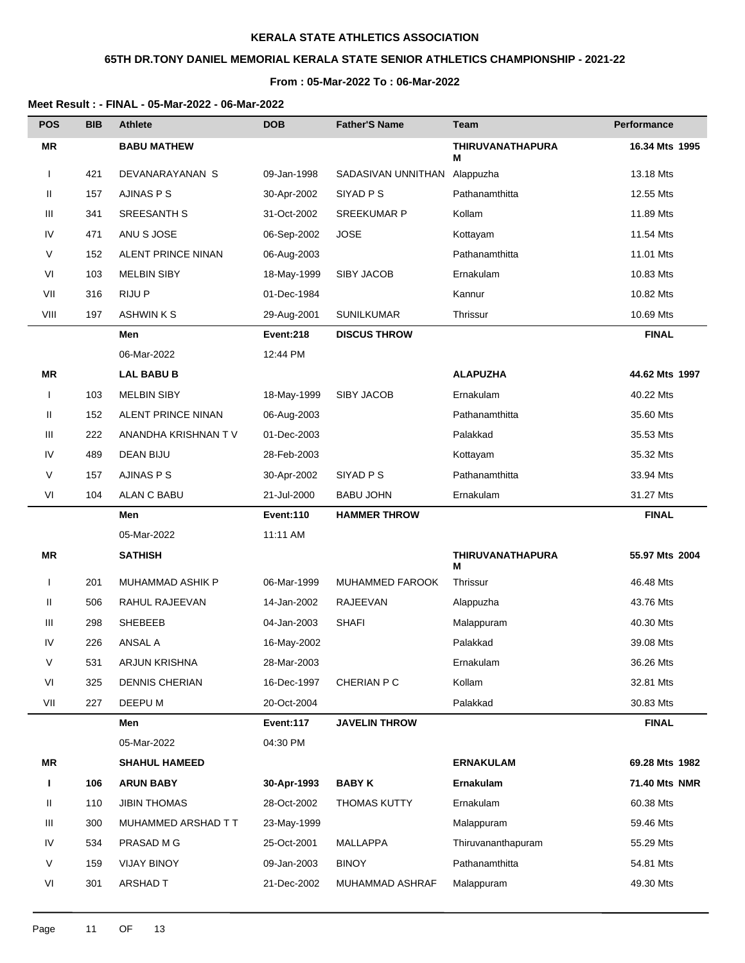# **65TH DR.TONY DANIEL MEMORIAL KERALA STATE SENIOR ATHLETICS CHAMPIONSHIP - 2021-22**

### **From : 05-Mar-2022 To : 06-Mar-2022**

| <b>POS</b>   | <b>BIB</b> | <b>Athlete</b>            | <b>DOB</b>       | <b>Father'S Name</b> | Team                         | Performance    |
|--------------|------------|---------------------------|------------------|----------------------|------------------------------|----------------|
| <b>MR</b>    |            | <b>BABU MATHEW</b>        |                  |                      | <b>THIRUVANATHAPURA</b><br>М | 16.34 Mts 1995 |
| $\mathbf{I}$ | 421        | DEVANARAYANAN S           | 09-Jan-1998      | SADASIVAN UNNITHAN   | Alappuzha                    | 13.18 Mts      |
| Ш            | 157        | AJINAS P S                | 30-Apr-2002      | SIYAD <sub>PS</sub>  | Pathanamthitta               | 12.55 Mts      |
| Ш            | 341        | SREESANTH S               | 31-Oct-2002      | <b>SREEKUMAR P</b>   | Kollam                       | 11.89 Mts      |
| IV           | 471        | ANU S JOSE                | 06-Sep-2002      | <b>JOSE</b>          | Kottayam                     | 11.54 Mts      |
| V            | 152        | ALENT PRINCE NINAN        | 06-Aug-2003      |                      | Pathanamthitta               | 11.01 Mts      |
| VI           | 103        | <b>MELBIN SIBY</b>        | 18-May-1999      | SIBY JACOB           | Ernakulam                    | 10.83 Mts      |
| VII          | 316        | <b>RIJUP</b>              | 01-Dec-1984      |                      | Kannur                       | 10.82 Mts      |
| VIII         | 197        | <b>ASHWINKS</b>           | 29-Aug-2001      | <b>SUNILKUMAR</b>    | Thrissur                     | 10.69 Mts      |
|              |            | Men                       | Event:218        | <b>DISCUS THROW</b>  |                              | <b>FINAL</b>   |
|              |            | 06-Mar-2022               | 12:44 PM         |                      |                              |                |
| ΜR           |            | <b>LAL BABU B</b>         |                  |                      | <b>ALAPUZHA</b>              | 44.62 Mts 1997 |
| $\mathbf{I}$ | 103        | <b>MELBIN SIBY</b>        | 18-May-1999      | <b>SIBY JACOB</b>    | Ernakulam                    | 40.22 Mts      |
| Ш            | 152        | <b>ALENT PRINCE NINAN</b> | 06-Aug-2003      |                      | Pathanamthitta               | 35.60 Mts      |
| Ш            | 222        | ANANDHA KRISHNAN T V      | 01-Dec-2003      |                      | Palakkad                     | 35.53 Mts      |
| IV           | 489        | <b>DEAN BIJU</b>          | 28-Feb-2003      |                      | Kottayam                     | 35.32 Mts      |
| V            | 157        | AJINAS P S                | 30-Apr-2002      | SIYAD P S            | Pathanamthitta               | 33.94 Mts      |
| VI           | 104        | <b>ALAN C BABU</b>        | 21-Jul-2000      | <b>BABU JOHN</b>     | Ernakulam                    | 31.27 Mts      |
|              |            | Men                       | <b>Event:110</b> | <b>HAMMER THROW</b>  |                              | <b>FINAL</b>   |
|              |            | 05-Mar-2022               | 11:11 AM         |                      |                              |                |
| <b>MR</b>    |            | <b>SATHISH</b>            |                  |                      | <b>THIRUVANATHAPURA</b><br>М | 55.97 Mts 2004 |
| $\mathbf{I}$ | 201        | MUHAMMAD ASHIK P          | 06-Mar-1999      | MUHAMMED FAROOK      | Thrissur                     | 46.48 Mts      |
| Ш            | 506        | RAHUL RAJEEVAN            | 14-Jan-2002      | RAJEEVAN             | Alappuzha                    | 43.76 Mts      |
| Ш            | 298        | <b>SHEBEEB</b>            | 04-Jan-2003      | <b>SHAFI</b>         | Malappuram                   | 40.30 Mts      |
| IV           | 226        | <b>ANSAL A</b>            | 16-May-2002      |                      | Palakkad                     | 39.08 Mts      |
| V            | 531        | ARJUN KRISHNA             | 28-Mar-2003      |                      | Ernakulam                    | 36.26 Mts      |
| VI           | 325        | <b>DENNIS CHERIAN</b>     | 16-Dec-1997      | CHERIAN P C          | Kollam                       | 32.81 Mts      |
| VII          | 227        | DEEPU M                   | 20-Oct-2004      |                      | Palakkad                     | 30.83 Mts      |
|              |            | Men                       | Event:117        | <b>JAVELIN THROW</b> |                              | <b>FINAL</b>   |
|              |            | 05-Mar-2022               | 04:30 PM         |                      |                              |                |
| ΜR           |            | <b>SHAHUL HAMEED</b>      |                  |                      | <b>ERNAKULAM</b>             | 69.28 Mts 1982 |
| Т            | 106        | <b>ARUN BABY</b>          | 30-Apr-1993      | <b>BABY K</b>        | Ernakulam                    | 71.40 Mts NMR  |
| Ш            | 110        | <b>JIBIN THOMAS</b>       | 28-Oct-2002      | <b>THOMAS KUTTY</b>  | Ernakulam                    | 60.38 Mts      |
| Ш            | 300        | MUHAMMED ARSHAD T T       | 23-May-1999      |                      | Malappuram                   | 59.46 Mts      |
| IV           | 534        | PRASAD M G                | 25-Oct-2001      | MALLAPPA             | Thiruvananthapuram           | 55.29 Mts      |
| V            | 159        | <b>VIJAY BINOY</b>        | 09-Jan-2003      | <b>BINOY</b>         | Pathanamthitta               | 54.81 Mts      |
| VI           | 301        | <b>ARSHAD T</b>           | 21-Dec-2002      | MUHAMMAD ASHRAF      | Malappuram                   | 49.30 Mts      |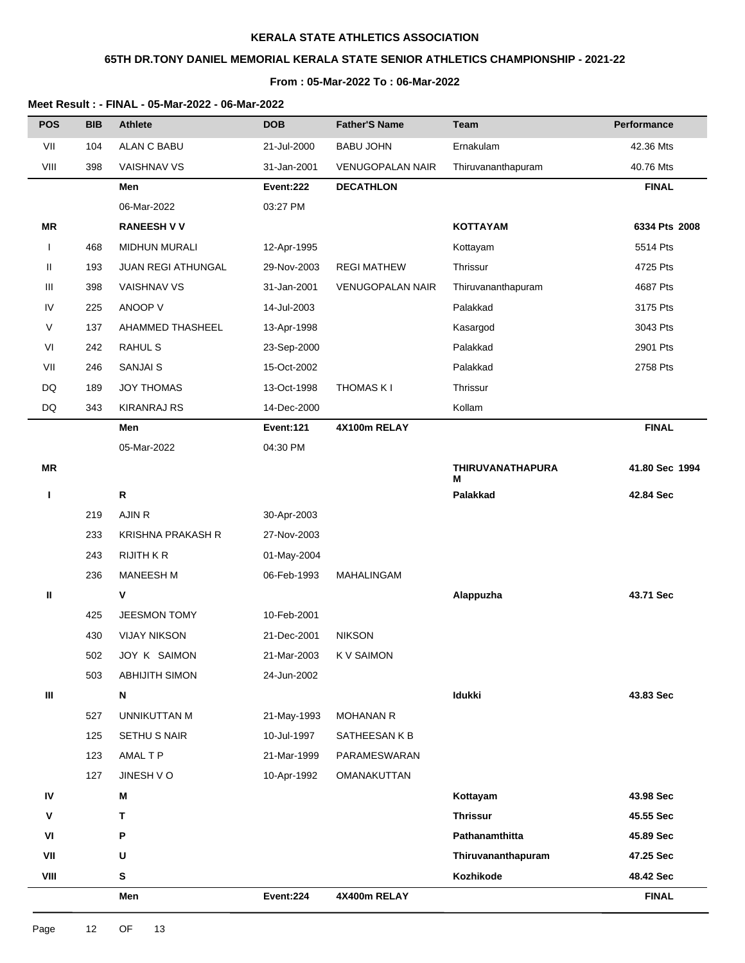# **65TH DR.TONY DANIEL MEMORIAL KERALA STATE SENIOR ATHLETICS CHAMPIONSHIP - 2021-22**

### **From : 05-Mar-2022 To : 06-Mar-2022**

| <b>POS</b> | <b>BIB</b> | <b>Athlete</b>           | <b>DOB</b>       | <b>Father'S Name</b>    | <b>Team</b>           | Performance    |
|------------|------------|--------------------------|------------------|-------------------------|-----------------------|----------------|
| VII        | 104        | <b>ALAN C BABU</b>       | 21-Jul-2000      | <b>BABU JOHN</b>        | Ernakulam             | 42.36 Mts      |
| VIII       | 398        | VAISHNAV VS              | 31-Jan-2001      | <b>VENUGOPALAN NAIR</b> | Thiruvananthapuram    | 40.76 Mts      |
|            |            | Men                      | Event:222        | <b>DECATHLON</b>        |                       | <b>FINAL</b>   |
|            |            | 06-Mar-2022              | 03:27 PM         |                         |                       |                |
| MR         |            | <b>RANEESH V V</b>       |                  |                         | <b>KOTTAYAM</b>       | 6334 Pts 2008  |
| ı          | 468        | MIDHUN MURALI            | 12-Apr-1995      |                         | Kottayam              | 5514 Pts       |
| Ш          | 193        | JUAN REGI ATHUNGAL       | 29-Nov-2003      | <b>REGI MATHEW</b>      | Thrissur              | 4725 Pts       |
| Ш          | 398        | <b>VAISHNAV VS</b>       | 31-Jan-2001      | <b>VENUGOPALAN NAIR</b> | Thiruvananthapuram    | 4687 Pts       |
| IV         | 225        | ANOOP V                  | 14-Jul-2003      |                         | Palakkad              | 3175 Pts       |
| V          | 137        | AHAMMED THASHEEL         | 13-Apr-1998      |                         | Kasargod              | 3043 Pts       |
| VI         | 242        | <b>RAHUL S</b>           | 23-Sep-2000      |                         | Palakkad              | 2901 Pts       |
| VII        | 246        | <b>SANJAI S</b>          | 15-Oct-2002      |                         | Palakkad              | 2758 Pts       |
| DQ         | 189        | <b>JOY THOMAS</b>        | 13-Oct-1998      | <b>THOMAS KI</b>        | Thrissur              |                |
| DQ         | 343        | <b>KIRANRAJ RS</b>       | 14-Dec-2000      |                         | Kollam                |                |
|            |            | Men                      | <b>Event:121</b> | 4X100m RELAY            |                       | <b>FINAL</b>   |
|            |            | 05-Mar-2022              | 04:30 PM         |                         |                       |                |
| <b>MR</b>  |            |                          |                  |                         | THIRUVANATHAPURA<br>М | 41.80 Sec 1994 |
| I.         |            | ${\sf R}$                |                  |                         | Palakkad              | 42.84 Sec      |
|            | 219        | AJIN R                   | 30-Apr-2003      |                         |                       |                |
|            | 233        | <b>KRISHNA PRAKASH R</b> | 27-Nov-2003      |                         |                       |                |
|            | 243        | <b>RIJITH K R</b>        | 01-May-2004      |                         |                       |                |
|            | 236        | MANEESH M                | 06-Feb-1993      | MAHALINGAM              |                       |                |
| Ш          |            | V                        |                  |                         | Alappuzha             | 43.71 Sec      |
|            | 425        | JEESMON TOMY             | 10-Feb-2001      |                         |                       |                |
|            | 430        | <b>VIJAY NIKSON</b>      | 21-Dec-2001      | <b>NIKSON</b>           |                       |                |
|            | 502        | JOY K SAIMON             | 21-Mar-2003      | <b>KV SAIMON</b>        |                       |                |
|            | 503        | <b>ABHIJITH SIMON</b>    | 24-Jun-2002      |                         |                       |                |
| Ш          |            | N                        |                  |                         | <b>Idukki</b>         | 43.83 Sec      |
|            | 527        | <b>UNNIKUTTAN M</b>      | 21-May-1993      | <b>MOHANAN R</b>        |                       |                |
|            | 125        | SETHU S NAIR             | 10-Jul-1997      | SATHEESAN K B           |                       |                |
|            | 123        | AMAL T P                 | 21-Mar-1999      | PARAMESWARAN            |                       |                |
|            | 127        | JINESH VO                | 10-Apr-1992      | OMANAKUTTAN             |                       |                |
| IV         |            | M                        |                  |                         | Kottayam              | 43.98 Sec      |
| ٧          |            | T                        |                  |                         | <b>Thrissur</b>       | 45.55 Sec      |
| VI         |            | P                        |                  |                         | Pathanamthitta        | 45.89 Sec      |
| VII        |            | U                        |                  |                         | Thiruvananthapuram    | 47.25 Sec      |
| VIII       |            | ${\bf S}$                |                  |                         | Kozhikode             | 48.42 Sec      |
|            |            | Men                      | Event:224        | 4X400m RELAY            |                       | <b>FINAL</b>   |